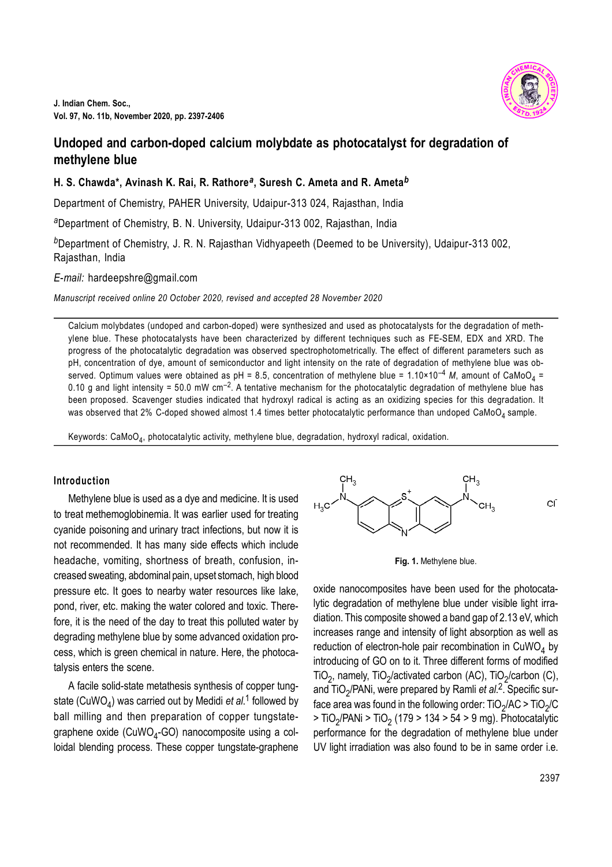

# **Undoped and carbon-doped calcium molybdate as photocatalyst for degradation of methylene blue**

# **H. S. Chawda\*, Avinash K. Rai, R. Rathore***<sup>a</sup>* **, Suresh C. Ameta and R. Ameta***<sup>b</sup>*

Department of Chemistry, PAHER University, Udaipur-313 024, Rajasthan, India

*<sup>a</sup>*Department of Chemistry, B. N. University, Udaipur-313 002, Rajasthan, India

*<sup>b</sup>*Department of Chemistry, J. R. N. Rajasthan Vidhyapeeth (Deemed to be University), Udaipur-313 002, Rajasthan, India

*E*-*mail:* hardeepshre@gmail.com

*Manuscript received online 20 October 2020, revised and accepted 28 November 2020*

Calcium molybdates (undoped and carbon-doped) were synthesized and used as photocatalysts for the degradation of methylene blue. These photocatalysts have been characterized by different techniques such as FE-SEM, EDX and XRD. The progress of the photocatalytic degradation was observed spectrophotometrically. The effect of different parameters such as pH, concentration of dye, amount of semiconductor and light intensity on the rate of degradation of methylene blue was observed. Optimum values were obtained as pH = 8.5, concentration of methylene blue = 1.10×10<sup>-4</sup> M, amount of CaMoO<sub>4</sub> = 0.10 g and light intensity = 50.0 mW cm<sup>-2</sup>. A tentative mechanism for the photocatalytic degradation of methylene blue has been proposed. Scavenger studies indicated that hydroxyl radical is acting as an oxidizing species for this degradation. It was observed that 2% C-doped showed almost 1.4 times better photocatalytic performance than undoped CaMoO<sub>4</sub> sample.

Keywords: CaMoO $_4$ , photocatalytic activity, methylene blue, degradation, hydroxyl radical, oxidation.

#### **Introduction**

Methylene blue is used as a dye and medicine. It is used to treat methemoglobinemia. It was earlier used for treating cyanide poisoning and urinary tract infections, but now it is not recommended. It has many side effects which include headache, vomiting, shortness of breath, confusion, increased sweating, abdominal pain, upset stomach, high blood pressure etc. It goes to nearby water resources like lake, pond, river, etc. making the water colored and toxic. Therefore, it is the need of the day to treat this polluted water by degrading methylene blue by some advanced oxidation process, which is green chemical in nature. Here, the photocatalysis enters the scene.

A facile solid-state metathesis synthesis of copper tungstate (CuWO<sub>4</sub>) was carried out by Medidi *et al*.<sup>1</sup> followed by ball milling and then preparation of copper tungstategraphene oxide (CuWO<sub>4</sub>-GO) nanocomposite using a colloidal blending process. These copper tungstate-graphene



**Fig. 1.** Methylene blue.

oxide nanocomposites have been used for the photocatalytic degradation of methylene blue under visible light irradiation. This composite showed a band gap of 2.13 eV, which increases range and intensity of light absorption as well as reduction of electron-hole pair recombination in  $\textsf{CuWO}_4$  by introducing of GO on to it. Three different forms of modified TiO<sub>2</sub>, namely, TiO<sub>2</sub>/activated carbon (AC), TiO<sub>2</sub>/carbon (C), and TiO<sub>2</sub>/PANi, were prepared by Ramli *et al.<sup>2</sup>*. Specific surface area was found in the following order: TiO<sub>2</sub>/AC > TiO<sub>2</sub>/C > TiO<sub>2</sub>/PANi > TiO<sub>2</sub> (179 > 134 > 54 > 9 mg). Photocatalytic performance for the degradation of methylene blue under UV light irradiation was also found to be in same order i.e.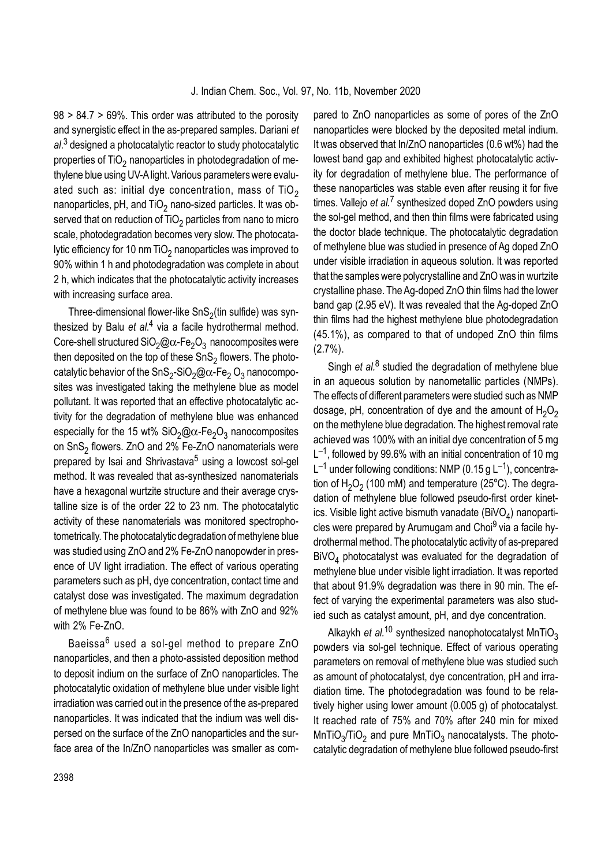98 > 84.7 > 69%. This order was attributed to the porosity and synergistic effect in the as-prepared samples. Dariani *et al*. 3 designed a photocatalytic reactor to study photocatalytic properties of TiO $_2$  nanoparticles in photodegradation of methylene blue using UV-A light. Various parameters were evaluated such as: initial dye concentration, mass of  $TiO<sub>2</sub>$ nanoparticles, pH, and TiO $_2$  nano-sized particles. It was observed that on reduction of TiO $_2$  particles from nano to micro scale, photodegradation becomes very slow. The photocatalytic efficiency for 10 nm TiO<sub>2</sub> nanoparticles was improved to 90% within 1 h and photodegradation was complete in about 2 h, which indicates that the photocatalytic activity increases with increasing surface area.

Three-dimensional flower-like SnS $_2$ (tin sulfide) was synthesized by Balu *et al.<sup>4</sup>* via a facile hydrothermal method. Core-shell structured SiO $_2$ @ $\alpha$ -Fe $_2$ O $_3$  nanocomposites were then deposited on the top of these SnS $_2$  flowers. The photocatalytic behavior of the SnS<sub>2</sub>-SiO<sub>2</sub>@ $\alpha$ -Fe<sub>2</sub> O<sub>3</sub> nanocomposites was investigated taking the methylene blue as model pollutant. It was reported that an effective photocatalytic activity for the degradation of methylene blue was enhanced especially for the 15 wt% SiO $_2$ @ $\alpha$ -Fe $_2$ O $_3$  nanocomposites on SnS<sub>2</sub> flowers. ZnO and 2% Fe-ZnO nanomaterials were prepared by Isai and Shrivastava<sup>5</sup> using a lowcost sol-gel method. It was revealed that as-synthesized nanomaterials have a hexagonal wurtzite structure and their average crystalline size is of the order 22 to 23 nm. The photocatalytic activity of these nanomaterials was monitored spectrophotometrically. The photocatalytic degradation of methylene blue was studied using ZnO and 2% Fe-ZnO nanopowder in presence of UV light irradiation. The effect of various operating parameters such as pH, dye concentration, contact time and catalyst dose was investigated. The maximum degradation of methylene blue was found to be 86% with ZnO and 92% with 2% Fe-ZnO.

Baeissa<sup>6</sup> used a sol-gel method to prepare ZnO nanoparticles, and then a photo-assisted deposition method to deposit indium on the surface of ZnO nanoparticles. The photocatalytic oxidation of methylene blue under visible light irradiation was carried out in the presence of the as-prepared nanoparticles. It was indicated that the indium was well dispersed on the surface of the ZnO nanoparticles and the surface area of the In/ZnO nanoparticles was smaller as com-

pared to ZnO nanoparticles as some of pores of the ZnO nanoparticles were blocked by the deposited metal indium. It was observed that In/ZnO nanoparticles (0.6 wt%) had the lowest band gap and exhibited highest photocatalytic activity for degradation of methylene blue. The performance of these nanoparticles was stable even after reusing it for five times. Vallejo *et al.<sup>7</sup>* synthesized doped ZnO powders using the sol-gel method, and then thin films were fabricated using the doctor blade technique. The photocatalytic degradation of methylene blue was studied in presence of Ag doped ZnO under visible irradiation in aqueous solution. It was reported that the samples were polycrystalline and ZnO was in wurtzite crystalline phase. The Ag-doped ZnO thin films had the lower band gap (2.95 eV). It was revealed that the Ag-doped ZnO thin films had the highest methylene blue photodegradation (45.1%), as compared to that of undoped ZnO thin films  $(2.7\%)$ .

Singh *et al.*<sup>8</sup> studied the degradation of methylene blue in an aqueous solution by nanometallic particles (NMPs). The effects of different parameters were studied such as NMP dosage, pH, concentration of dye and the amount of  $H_2O_2$ on the methylene blue degradation. The highest removal rate achieved was 100% with an initial dye concentration of 5 mg  $L^{-1}$ , followed by 99.6% with an initial concentration of 10 mg  $L^{-1}$  under following conditions: NMP (0.15 g  $L^{-1}$ ), concentration of  $H_2O_2$  (100 mM) and temperature (25°C). The degradation of methylene blue followed pseudo-first order kinetics. Visible light active bismuth vanadate (BiVO<sub>4</sub>) nanoparticles were prepared by Arumugam and Choi<sup>9</sup> via a facile hydrothermal method. The photocatalytic activity of as-prepared BiVO<sub>4</sub> photocatalyst was evaluated for the degradation of methylene blue under visible light irradiation. It was reported that about 91.9% degradation was there in 90 min. The effect of varying the experimental parameters was also studied such as catalyst amount, pH, and dye concentration.

Alkaykh *et al.*<sup>10</sup> synthesized nanophotocatalyst MnTiO<sub>3</sub> powders via sol-gel technique. Effect of various operating parameters on removal of methylene blue was studied such as amount of photocatalyst, dye concentration, pH and irradiation time. The photodegradation was found to be relatively higher using lower amount (0.005 g) of photocatalyst. It reached rate of 75% and 70% after 240 min for mixed <code>MnTiO $_3$ /TiO $_2$ </code> and pure <code>MnTiO $_3$ </code> nanocatalysts. The photocatalytic degradation of methylene blue followed pseudo-first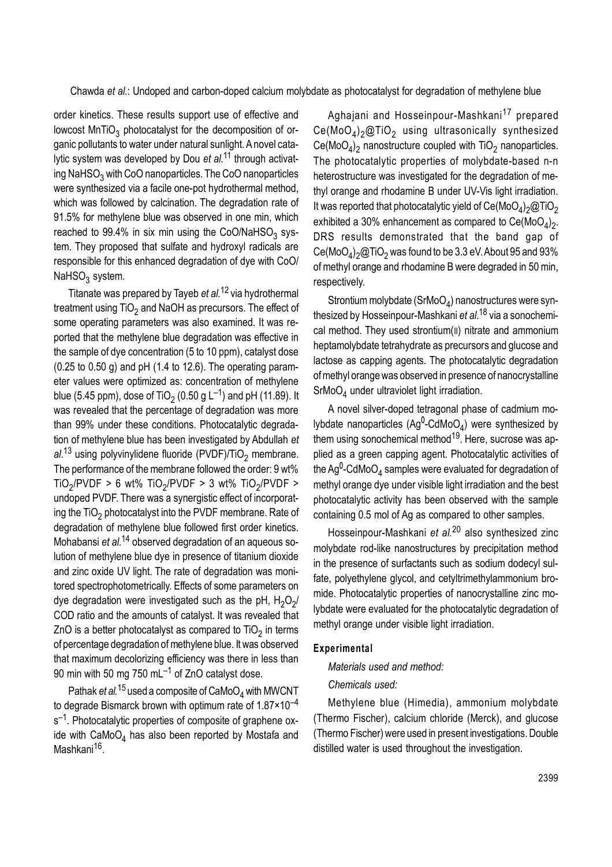order kinetics. These results support use of effective and lowcost MnTiO $_3$  photocatalyst for the decomposition of organic pollutants to water under natural sunlight. A novel catalytic system was developed by Dou *et al.*11 through activating NaHSO $_3$  with CoO nanoparticles. The CoO nanoparticles were synthesized via a facile one-pot hydrothermal method, which was followed by calcination. The degradation rate of 91.5% for methylene blue was observed in one min, which reached to 99.4% in six min using the CoO/NaHSO $_3$  system. They proposed that sulfate and hydroxyl radicals are responsible for this enhanced degradation of dye with CoO/ NaHSO<sub>3</sub> system.

Titanate was prepared by Tayeb *et al.*12 via hydrothermal treatment using TiO $_2$  and NaOH as precursors. The effect of some operating parameters was also examined. It was reported that the methylene blue degradation was effective in the sample of dye concentration (5 to 10 ppm), catalyst dose  $(0.25$  to  $0.50$  g) and pH  $(1.4$  to  $12.6)$ . The operating parameter values were optimized as: concentration of methylene blue (5.45 ppm), dose of TiO $_2$  (0.50 g L $^{-1}$ ) and pH (11.89). It was revealed that the percentage of degradation was more than 99% under these conditions. Photocatalytic degradation of methylene blue has been investigated by Abdullah *et al*.<sup>13</sup> using polyvinylidene fluoride (PVDF)/TiO<sub>2</sub> membrane. The performance of the membrane followed the order: 9 wt% TiO<sub>2</sub>/PVDF > 6 wt% TiO<sub>2</sub>/PVDF > 3 wt% TiO<sub>2</sub>/PVDF > undoped PVDF. There was a synergistic effect of incorporating the TiO $_2$  photocatalyst into the PVDF membrane. Rate of degradation of methylene blue followed first order kinetics. Mohabansi *et al.*14 observed degradation of an aqueous solution of methylene blue dye in presence of titanium dioxide and zinc oxide UV light. The rate of degradation was monitored spectrophotometrically. Effects of some parameters on dye degradation were investigated such as the pH,  ${\sf H_2O_2\!\!}{}'$ COD ratio and the amounts of catalyst. It was revealed that ZnO is a better photocatalyst as compared to TiO $_2$  in terms of percentage degradation of methylene blue. It was observed that maximum decolorizing efficiency was there in less than 90 min with 50 mg 750 mL $^{-1}$  of ZnO catalyst dose.

Pathak *et al.*<sup>15</sup> used a composite of CaMoO<sub>4</sub> with MWCNT to degrade Bismarck brown with optimum rate of  $1.87 \times 10^{-4}$ s<sup>-1</sup>. Photocatalytic properties of composite of graphene oxide with  $\text{CaMoO}_4$  has also been reported by Mostafa and Mashkani<sup>16</sup>.

Aghajani and Hosseinpour-Mashkani<sup>17</sup> prepared  $\mathsf{Ce}(\mathsf{MoO}_4)_2@ \mathsf{TiO}_2$  using ultrasonically synthesized  $\text{Ce}(\text{MoO}_4)_2$  nanostructure coupled with  $\text{TiO}_2$  nanoparticles. The photocatalytic properties of molybdate-based n-n heterostructure was investigated for the degradation of methyl orange and rhodamine B under UV-Vis light irradiation. It was reported that photocatalytic yield of Ce(MoO $_4)_2$ @TiO $_2$ exhibited a 30% enhancement as compared to Ce(MoO $_4)_2$ . DRS results demonstrated that the band gap of  $\mathsf{Ce}(\mathsf{MoO}_4)_2\textcircled$ TiO $_2$  was found to be 3.3 eV. About 95 and 93% of methyl orange and rhodamine B were degraded in 50 min, respectively.

Strontium molybdate (SrMoO<sub>4</sub>) nanostructures were synthesized by Hosseinpour-Mashkani *et al*. <sup>18</sup> via a sonochemical method. They used strontium(II) nitrate and ammonium heptamolybdate tetrahydrate as precursors and glucose and lactose as capping agents. The photocatalytic degradation of methyl orange was observed in presence of nanocrystalline SrMoO<sub>4</sub> under ultraviolet light irradiation.

A novel silver-doped tetragonal phase of cadmium molybdate nanoparticles (Ag<sup>0</sup>-CdMoO<sub>4</sub>) were synthesized by them using sonochemical method<sup>19</sup>. Here, sucrose was applied as a green capping agent. Photocatalytic activities of the Ag<sup>0</sup>-CdMoO<sub>4</sub> samples were evaluated for degradation of methyl orange dye under visible light irradiation and the best photocatalytic activity has been observed with the sample containing 0.5 mol of Ag as compared to other samples.

Hosseinpour-Mashkani *et al.*20 also synthesized zinc molybdate rod-like nanostructures by precipitation method in the presence of surfactants such as sodium dodecyl sulfate, polyethylene glycol, and cetyltrimethylammonium bromide. Photocatalytic properties of nanocrystalline zinc molybdate were evaluated for the photocatalytic degradation of methyl orange under visible light irradiation.

#### **Experimental**

*Materials used and method:*

#### *Chemicals used:*

Methylene blue (Himedia), ammonium molybdate (Thermo Fischer), calcium chloride (Merck), and glucose (Thermo Fischer) were used in present investigations. Double distilled water is used throughout the investigation.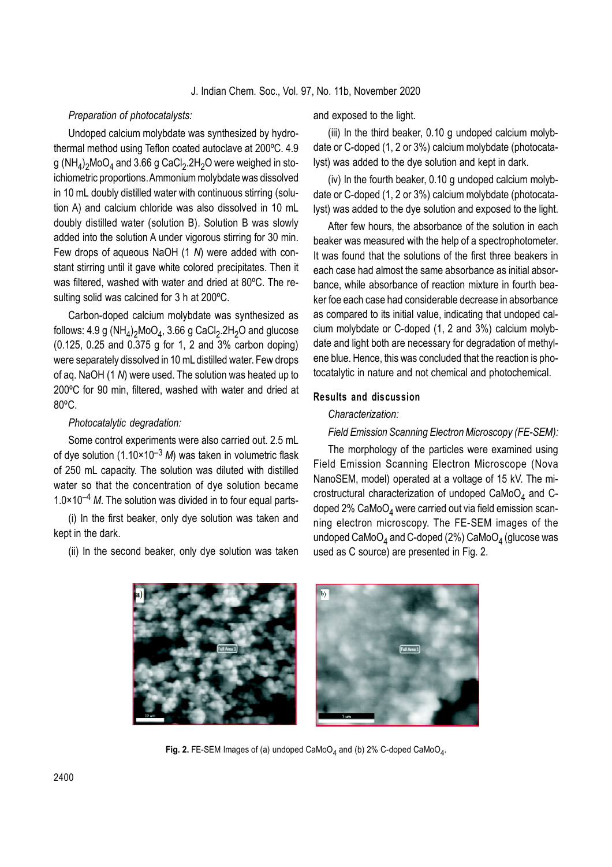#### *Preparation of photocatalysts:*

Undoped calcium molybdate was synthesized by hydrothermal method using Teflon coated autoclave at 200ºC. 4.9 g (NH<sub>4</sub>)<sub>2</sub>MoO<sub>4</sub> and 3.66 g CaCl<sub>2</sub>.2H<sub>2</sub>O were weighed in stoichiometric proportions. Ammonium molybdate was dissolved in 10 mL doubly distilled water with continuous stirring (solution A) and calcium chloride was also dissolved in 10 mL doubly distilled water (solution B). Solution B was slowly added into the solution A under vigorous stirring for 30 min. Few drops of aqueous NaOH (1 *N*) were added with constant stirring until it gave white colored precipitates. Then it was filtered, washed with water and dried at 80ºC. The resulting solid was calcined for 3 h at 200ºC.

Carbon-doped calcium molybdate was synthesized as follows: 4.9 g (NH<sub>4</sub>)<sub>2</sub>MoO<sub>4</sub>, 3.66 g CaCl<sub>2</sub>.2H<sub>2</sub>O and glucose (0.125, 0.25 and 0.375 g for 1, 2 and 3% carbon doping) were separately dissolved in 10 mL distilled water. Few drops of aq. NaOH (1 *N*) were used. The solution was heated up to 200ºC for 90 min, filtered, washed with water and dried at 80ºC.

### *Photocatalytic degradation:*

Some control experiments were also carried out. 2.5 mL of dye solution (1.10×10–3 *M*) was taken in volumetric flask of 250 mL capacity. The solution was diluted with distilled water so that the concentration of dye solution became 1.0×10–4 *M*. The solution was divided in to four equal parts-

(i) In the first beaker, only dye solution was taken and kept in the dark.

(ii) In the second beaker, only dye solution was taken

and exposed to the light.

(iii) In the third beaker, 0.10 g undoped calcium molybdate or C-doped (1, 2 or 3%) calcium molybdate (photocatalyst) was added to the dye solution and kept in dark.

(iv) In the fourth beaker, 0.10 g undoped calcium molybdate or C-doped (1, 2 or 3%) calcium molybdate (photocatalyst) was added to the dye solution and exposed to the light.

After few hours, the absorbance of the solution in each beaker was measured with the help of a spectrophotometer. It was found that the solutions of the first three beakers in each case had almost the same absorbance as initial absorbance, while absorbance of reaction mixture in fourth beaker foe each case had considerable decrease in absorbance as compared to its initial value, indicating that undoped calcium molybdate or C-doped (1, 2 and 3%) calcium molybdate and light both are necessary for degradation of methylene blue. Hence, this was concluded that the reaction is photocatalytic in nature and not chemical and photochemical.

#### **Results and discussion**

### *Characterization:*

*Field Emission Scanning Electron Microscopy (FE-SEM):*

The morphology of the particles were examined using Field Emission Scanning Electron Microscope (Nova NanoSEM, model) operated at a voltage of 15 kV. The microstructural characterization of undoped  $\texttt{CaMoO}_4$  and  $\texttt{C-}$ doped  $2\%$  CaMoO<sub>4</sub> were carried out via field emission scanning electron microscopy. The FE-SEM images of the undoped CaMoO $_4$  and C-doped (2%) CaMoO $_4$  (glucose was used as C source) are presented in Fig. 2.



Fig. 2. FE-SEM Images of (a) undoped  $\text{CaMoO}_4$  and (b) 2% C-doped  $\text{CaMoO}_4$ .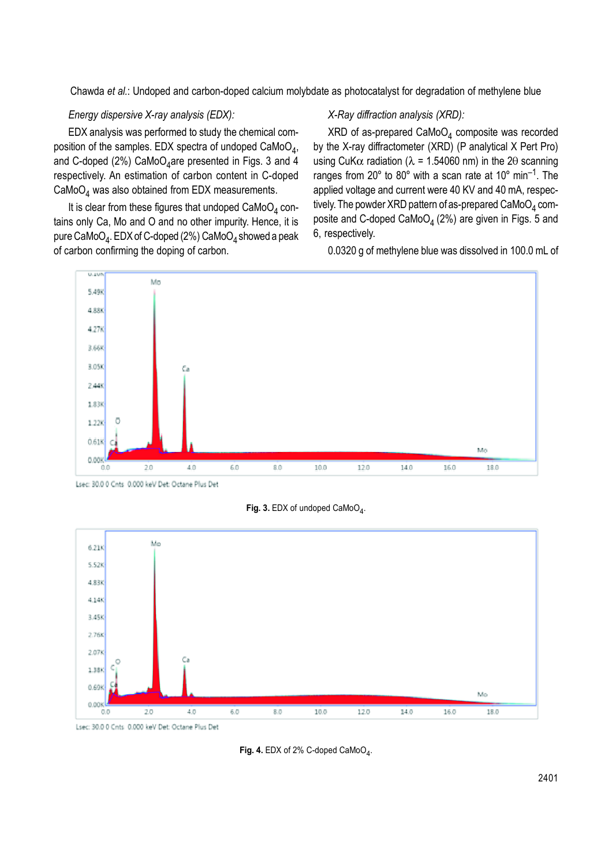Chawda *et al.*: Undoped and carbon-doped calcium molybdate as photocatalyst for degradation of methylene blue

### *Energy dispersive X-ray analysis (EDX):*

EDX analysis was performed to study the chemical composition of the samples. EDX spectra of undoped CaMoO $_4$ , and C-doped (2%)  $\mathsf{CaMoO}_4$ are presented in Figs. 3 and 4 respectively. An estimation of carbon content in C-doped  $\textsf{CaMoO}_4$  was also obtained from EDX measurements.

It is clear from these figures that undoped  $CaMoO<sub>A</sub>$  contains only Ca, Mo and O and no other impurity. Hence, it is pure CaMoO $_4$ . EDX of C-doped (2%) CaMoO $_4$  showed a peak of carbon confirming the doping of carbon.

#### *X-Ray diffraction analysis (XRD):*

XRD of as-prepared CaMoO $_4$  composite was recorded by the X-ray diffractometer (XRD) (P analytical X Pert Pro) using CuK $\alpha$  radiation ( $\lambda$  = 1.54060 nm) in the 20 scanning ranges from 20 $^{\circ}$  to 80 $^{\circ}$  with a scan rate at 10 $^{\circ}$  min<sup>-1</sup>. The applied voltage and current were 40 KV and 40 mA, respectively. The powder XRD pattern of as-prepared CaMoO $_4$  composite and C-doped CaMoO<sub> $4$ </sub> (2%) are given in Figs. 5 and 6, respectively.

0.0320 g of methylene blue was dissolved in 100.0 mL of



Lsec: 30.0 0 Cnts 0.000 keV Det: Octane Plus Det

Fig. 3. EDX of undoped CaMoO<sub>4</sub>.



Lsec: 30.0 0 Cnts 0.000 keV Det: Octane Plus Det

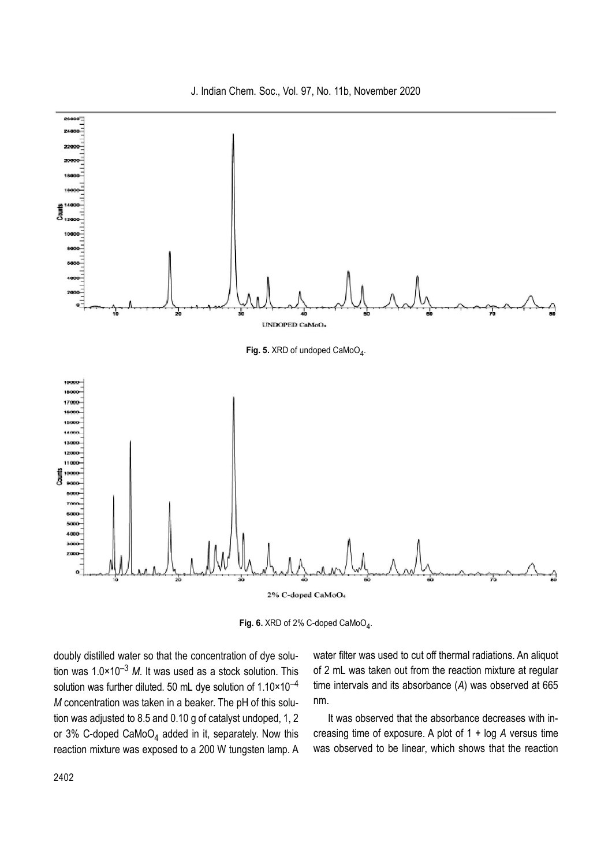J. Indian Chem. Soc., Vol. 97, No. 11b, November 2020



Fig. 6. XRD of 2% C-doped CaMoO<sub>4</sub>.

doubly distilled water so that the concentration of dye solution was 1.0×10–3 *M*. It was used as a stock solution. This solution was further diluted. 50 mL dye solution of  $1.10 \times 10^{-4}$ *M* concentration was taken in a beaker. The pH of this solution was adjusted to 8.5 and 0.10 g of catalyst undoped, 1, 2 or 3% C-doped CaMoO $_4$  added in it, separately. Now this reaction mixture was exposed to a 200 W tungsten lamp. A water filter was used to cut off thermal radiations. An aliquot of 2 mL was taken out from the reaction mixture at regular time intervals and its absorbance (*A*) was observed at 665 nm.

It was observed that the absorbance decreases with increasing time of exposure. A plot of 1 + log *A* versus time was observed to be linear, which shows that the reaction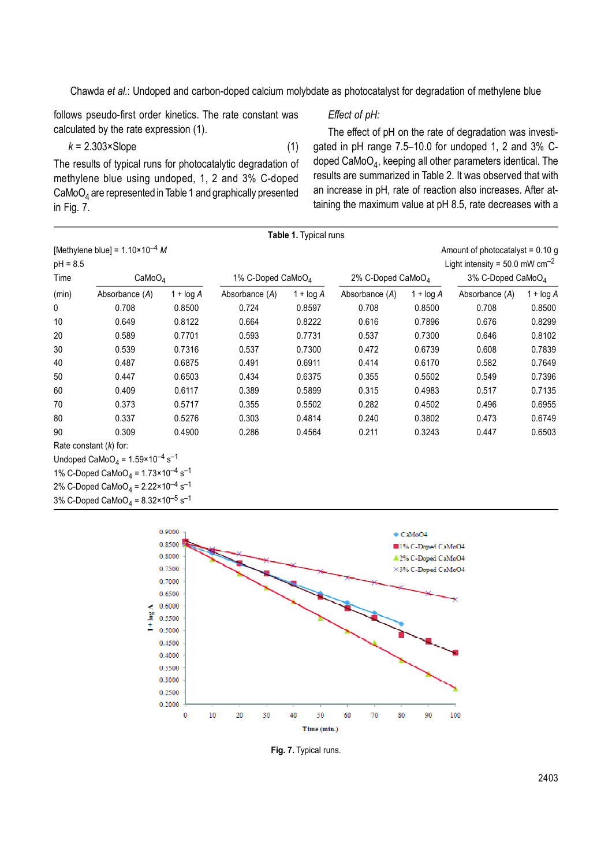Chawda *et al.*: Undoped and carbon-doped calcium molybdate as photocatalyst for degradation of methylene blue

follows pseudo-first order kinetics. The rate constant was calculated by the rate expression (1).

# *Effect of pH:*

 $k = 2.303 \times$ Slope (1) The results of typical runs for photocatalytic degradation of methylene blue using undoped, 1, 2 and 3% C-doped  $\mathsf{CaMoO}_4$  are represented in Table 1 and graphically presented in Fig. 7.

3% C-Doped CaMoO $_4$  = 8.32×10<sup>-5</sup> s<sup>-1</sup>

The effect of pH on the rate of degradation was investigated in pH range 7.5–10.0 for undoped 1, 2 and 3% Cdoped CaMoO $_4$ , keeping all other parameters identical. The results are summarized in Table 2. It was observed that with an increase in pH, rate of reaction also increases. After attaining the maximum value at pH 8.5, rate decreases with a

|            |                                                                       |              |                               | Table 1. Typical runs |                               |              |                                            |             |
|------------|-----------------------------------------------------------------------|--------------|-------------------------------|-----------------------|-------------------------------|--------------|--------------------------------------------|-------------|
|            | [Methylene blue] = $1.10 \times 10^{-4}$ M                            |              |                               |                       |                               |              | Amount of photocatalyst = $0.10$ g         |             |
| $pH = 8.5$ |                                                                       |              |                               |                       |                               |              | Light intensity = 50.0 mW $cm^{-2}$        |             |
| Time       | CaMoO <sub>4</sub>                                                    |              | 1% C-Doped CaMoO <sub>4</sub> |                       | 2% C-Doped CaMoO <sub>4</sub> |              | 3% C-Doped CaMoO <sub><math>4</math></sub> |             |
| (min)      | Absorbance (A)                                                        | $1 + \log A$ | Absorbance (A)                | $1 + \log A$          | Absorbance (A)                | $1 + \log A$ | Absorbance (A)                             | $1 + log A$ |
| 0          | 0.708                                                                 | 0.8500       | 0.724                         | 0.8597                | 0.708                         | 0.8500       | 0.708                                      | 0.8500      |
| 10         | 0.649                                                                 | 0.8122       | 0.664                         | 0.8222                | 0.616                         | 0.7896       | 0.676                                      | 0.8299      |
| 20         | 0.589                                                                 | 0.7701       | 0.593                         | 0.7731                | 0.537                         | 0.7300       | 0.646                                      | 0.8102      |
| 30         | 0.539                                                                 | 0.7316       | 0.537                         | 0.7300                | 0.472                         | 0.6739       | 0.608                                      | 0.7839      |
| 40         | 0.487                                                                 | 0.6875       | 0.491                         | 0.6911                | 0.414                         | 0.6170       | 0.582                                      | 0.7649      |
| 50         | 0.447                                                                 | 0.6503       | 0.434                         | 0.6375                | 0.355                         | 0.5502       | 0.549                                      | 0.7396      |
| 60         | 0.409                                                                 | 0.6117       | 0.389                         | 0.5899                | 0.315                         | 0.4983       | 0.517                                      | 0.7135      |
| 70         | 0.373                                                                 | 0.5717       | 0.355                         | 0.5502                | 0.282                         | 0.4502       | 0.496                                      | 0.6955      |
| 80         | 0.337                                                                 | 0.5276       | 0.303                         | 0.4814                | 0.240                         | 0.3802       | 0.473                                      | 0.6749      |
| 90         | 0.309                                                                 | 0.4900       | 0.286                         | 0.4564                | 0.211                         | 0.3243       | 0.447                                      | 0.6503      |
|            | Rate constant $(k)$ for:                                              |              |                               |                       |                               |              |                                            |             |
|            | Undoped CaMoO <sub>4</sub> = $1.59 \times 10^{-4}$ s <sup>-1</sup>    |              |                               |                       |                               |              |                                            |             |
|            | 1% C-Doped CaMoO <sub>4</sub> = $1.73 \times 10^{-4}$ s <sup>-1</sup> |              |                               |                       |                               |              |                                            |             |
|            | 2% C-Doped CaMoO <sub>4</sub> = $2.22 \times 10^{-4}$ s <sup>-1</sup> |              |                               |                       |                               |              |                                            |             |



**Fig. 7.** Typical runs.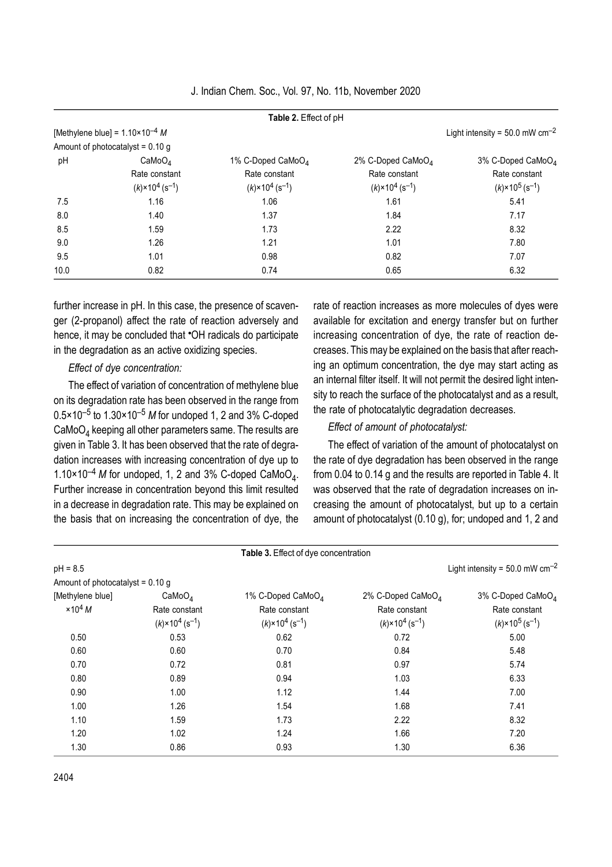|      |                                            | Table 2. Effect of pH                |                                      |                                      |
|------|--------------------------------------------|--------------------------------------|--------------------------------------|--------------------------------------|
|      | [Methylene blue] = $1.10 \times 10^{-4}$ M |                                      |                                      | Light intensity = 50.0 mW $cm^{-2}$  |
|      | Amount of photocatalyst = $0.10$ g         |                                      |                                      |                                      |
| pH   | CaMoO <sub>4</sub>                         | 1% C-Doped CaMoO <sub>4</sub>        | 2% C-Doped CaMoO <sub>4</sub>        | $3\%$ C-Doped CaMoO <sub>4</sub>     |
|      | Rate constant                              | Rate constant                        | Rate constant                        | Rate constant                        |
|      | $(k) \times 10^4$ (s <sup>-1</sup> )       | $(k) \times 10^4$ (s <sup>-1</sup> ) | $(k) \times 10^4$ (s <sup>-1</sup> ) | $(k) \times 10^5$ (s <sup>-1</sup> ) |
| 7.5  | 1.16                                       | 1.06                                 | 1.61                                 | 5.41                                 |
| 8.0  | 1.40                                       | 1.37                                 | 1.84                                 | 7.17                                 |
| 8.5  | 1.59                                       | 1.73                                 | 2.22                                 | 8.32                                 |
| 9.0  | 1.26                                       | 1.21                                 | 1.01                                 | 7.80                                 |
| 9.5  | 1.01                                       | 0.98                                 | 0.82                                 | 7.07                                 |
| 10.0 | 0.82                                       | 0.74                                 | 0.65                                 | 6.32                                 |

J. Indian Chem. Soc., Vol. 97, No. 11b, November 2020

further increase in pH. In this case, the presence of scavenger (2-propanol) affect the rate of reaction adversely and hence, it may be concluded that "OH radicals do participate in the degradation as an active oxidizing species.

### *Effect of dye concentration:*

The effect of variation of concentration of methylene blue on its degradation rate has been observed in the range from 0.5×10–5 to 1.30×10–5 *M* for undoped 1, 2 and 3% C-doped  $\mathsf{CaMoO}_4$  keeping all other parameters same. The results are given in Table 3. It has been observed that the rate of degradation increases with increasing concentration of dye up to 1.10×10<sup>-4</sup> M for undoped, 1, 2 and 3% C-doped CaMoO<sub>4</sub>. Further increase in concentration beyond this limit resulted in a decrease in degradation rate. This may be explained on the basis that on increasing the concentration of dye, the

rate of reaction increases as more molecules of dyes were available for excitation and energy transfer but on further increasing concentration of dye, the rate of reaction decreases. This may be explained on the basis that after reaching an optimum concentration, the dye may start acting as an internal filter itself. It will not permit the desired light intensity to reach the surface of the photocatalyst and as a result, the rate of photocatalytic degradation decreases.

### *Effect of amount of photocatalyst:*

The effect of variation of the amount of photocatalyst on the rate of dye degradation has been observed in the range from 0.04 to 0.14 g and the results are reported in Table 4. It was observed that the rate of degradation increases on increasing the amount of photocatalyst, but up to a certain amount of photocatalyst (0.10 g), for; undoped and 1, 2 and

|                                    |                                                       | Table 3. Effect of dye concentration                  |                                                       |                                                       |
|------------------------------------|-------------------------------------------------------|-------------------------------------------------------|-------------------------------------------------------|-------------------------------------------------------|
| $pH = 8.5$                         |                                                       |                                                       |                                                       | Light intensity = $50.0$ mW cm <sup>-2</sup>          |
| Amount of photocatalyst = $0.10 g$ |                                                       |                                                       |                                                       |                                                       |
| [Methylene blue]                   | CaMoO <sub>4</sub>                                    | 1% C-Doped CaMoO <sub>4</sub>                         | 2% C-Doped CaMoO <sub>4</sub>                         | 3% C-Doped CaMo $O_4$                                 |
| $\times 10^4$ M                    | Rate constant<br>$(k) \times 10^4$ (s <sup>-1</sup> ) | Rate constant<br>$(k) \times 10^4$ (s <sup>-1</sup> ) | Rate constant<br>$(k) \times 10^4$ (s <sup>-1</sup> ) | Rate constant<br>$(k) \times 10^5$ (s <sup>-1</sup> ) |
| 0.50                               | 0.53                                                  | 0.62                                                  | 0.72                                                  | 5.00                                                  |
| 0.60                               | 0.60                                                  | 0.70                                                  | 0.84                                                  | 5.48                                                  |
| 0.70                               | 0.72                                                  | 0.81                                                  | 0.97                                                  | 5.74                                                  |
| 0.80                               | 0.89                                                  | 0.94                                                  | 1.03                                                  | 6.33                                                  |
| 0.90                               | 1.00                                                  | 1.12                                                  | 1.44                                                  | 7.00                                                  |
| 1.00                               | 1.26                                                  | 1.54                                                  | 1.68                                                  | 7.41                                                  |
| 1.10                               | 1.59                                                  | 1.73                                                  | 2.22                                                  | 8.32                                                  |
| 1.20                               | 1.02                                                  | 1.24                                                  | 1.66                                                  | 7.20                                                  |
| 1.30                               | 0.86                                                  | 0.93                                                  | 1.30                                                  | 6.36                                                  |
|                                    |                                                       |                                                       |                                                       |                                                       |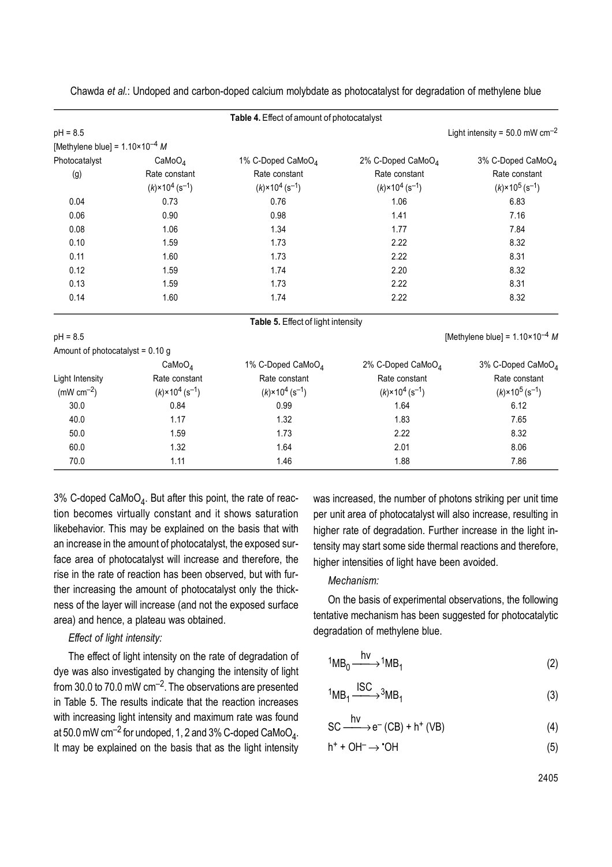|                                            |                                      | Table 4. Effect of amount of photocatalyst |                                      |                                            |  |
|--------------------------------------------|--------------------------------------|--------------------------------------------|--------------------------------------|--------------------------------------------|--|
| $pH = 8.5$                                 |                                      |                                            |                                      | Light intensity = 50.0 mW $cm^{-2}$        |  |
| [Methylene blue] = $1.10 \times 10^{-4}$ M |                                      |                                            |                                      |                                            |  |
| Photocatalyst                              | CaMoO <sub>4</sub>                   | 1% C-Doped CaMoO <sub>4</sub>              | 2% C-Doped CaMoO <sub>4</sub>        | 3% C-Doped CaMoO <sub>4</sub>              |  |
| (g)                                        | Rate constant                        | Rate constant                              | Rate constant                        | Rate constant                              |  |
|                                            | $(k) \times 10^4$ (s <sup>-1</sup> ) | $(k) \times 10^4$ (s <sup>-1</sup> )       | $(k) \times 10^4$ (s <sup>-1</sup> ) | $(k) \times 10^5$ (s <sup>-1</sup> )       |  |
| 0.04                                       | 0.73                                 | 0.76                                       | 1.06                                 | 6.83                                       |  |
| 0.06                                       | 0.90                                 | 0.98                                       | 1.41                                 | 7.16                                       |  |
| 0.08                                       | 1.06                                 | 1.34                                       | 1.77                                 | 7.84                                       |  |
| 0.10                                       | 1.59                                 | 1.73                                       | 2.22                                 | 8.32                                       |  |
| 0.11<br>1.60                               |                                      | 1.73                                       | 2.22                                 | 8.31                                       |  |
| 0.12<br>1.59                               |                                      | 1.74                                       | 2.20                                 | 8.32                                       |  |
| 0.13                                       | 1.59                                 | 1.73                                       | 2.22                                 | 8.31                                       |  |
| 0.14                                       | 1.60                                 | 1.74                                       | 2.22                                 | 8.32                                       |  |
|                                            |                                      | Table 5. Effect of light intensity         |                                      |                                            |  |
| $pH = 8.5$                                 |                                      |                                            |                                      | [Methylene blue] = $1.10 \times 10^{-4}$ M |  |
| Amount of photocatalyst = $0.10$ g         |                                      |                                            |                                      |                                            |  |
|                                            | CaMoO <sub>4</sub>                   | 1% C-Doped CaMoO <sub>4</sub>              | 2% C-Doped CaMoO <sub>4</sub>        | 3% C-Doped CaMoO <sub>4</sub>              |  |
| Light Intensity                            | Rate constant                        | Rate constant                              | Rate constant                        | Rate constant                              |  |
| (mW $cm^{-2}$ )                            | $(k) \times 10^4$ (s <sup>-1</sup> ) | $(k) \times 10^4$ (s <sup>-1</sup> )       | $(k) \times 10^4$ (s <sup>-1</sup> ) | $(k) \times 10^5$ (s <sup>-1</sup> )       |  |
| 30.0                                       | 0.84                                 | 0.99                                       | 1.64                                 | 6.12                                       |  |
| 40.0                                       | 1.17                                 | 1.32                                       | 1.83                                 | 7.65                                       |  |
| 50.0                                       | 1.59                                 | 1.73                                       | 2.22                                 | 8.32                                       |  |
| 60.0                                       | 1.32                                 | 1.64                                       | 2.01                                 | 8.06                                       |  |
| 70.0                                       | 1.11                                 | 1.46                                       | 1.88                                 | 7.86                                       |  |

Chawda *et al.*: Undoped and carbon-doped calcium molybdate as photocatalyst for degradation of methylene blue

3% C-doped CaMoO $_4$ . But after this point, the rate of reaction becomes virtually constant and it shows saturation likebehavior. This may be explained on the basis that with an increase in the amount of photocatalyst, the exposed surface area of photocatalyst will increase and therefore, the rise in the rate of reaction has been observed, but with further increasing the amount of photocatalyst only the thickness of the layer will increase (and not the exposed surface area) and hence, a plateau was obtained.

## *Effect of light intensity:*

The effect of light intensity on the rate of degradation of dye was also investigated by changing the intensity of light from 30.0 to 70.0 mW  $cm^{-2}$ . The observations are presented in Table 5. The results indicate that the reaction increases with increasing light intensity and maximum rate was found at 50.0 mW cm $^{-2}$  for undoped, 1, 2 and 3% C-doped CaMoO $_4$ . It may be explained on the basis that as the light intensity

was increased, the number of photons striking per unit time per unit area of photocatalyst will also increase, resulting in higher rate of degradation. Further increase in the light intensity may start some side thermal reactions and therefore, higher intensities of light have been avoided.

### *Mechanism:*

On the basis of experimental observations, the following tentative mechanism has been suggested for photocatalytic degradation of methylene blue.

$$
{}^{1}MB_{0} \xrightarrow{hv} {}^{1}MB_{1} \tag{2}
$$

$$
{}^{1}MB_{1} \xrightarrow{ISC} {}^{3}MB_{1} \tag{3}
$$

$$
SC \xrightarrow{hv} e^{-} (CB) + h^{+} (VB)
$$
 (4)

$$
h^+ + OH^- \rightarrow \text{`OH} \tag{5}
$$

2405